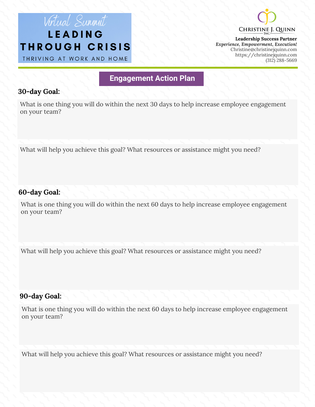## Virtual Sunmit LEADING THROUGH CRISIS

THRIVING AT WORK AND HOME



**Leadership Success Partner** *Experience, Empowerment, Execution!* Christine@christinejquinn.com https://christinejquinn.com (312) 288-5669

### **Engagement Action Plan**

### **30-day Goal:**

What is one thing you will do within the next 30 days to help increase employee engagement on your team?

What will help you achieve this goal? What resources or assistance might you need?

### **60-day Goal:**

What is one thing you will do within the next 60 days to help increase employee engagement on your team?

What will help you achieve this goal? What resources or assistance might you need?

### **90-day Goal:**

What is one thing you will do within the next 60 days to help increase employee engagement on your team?

What will help you achieve this goal? What resources or assistance might you need?